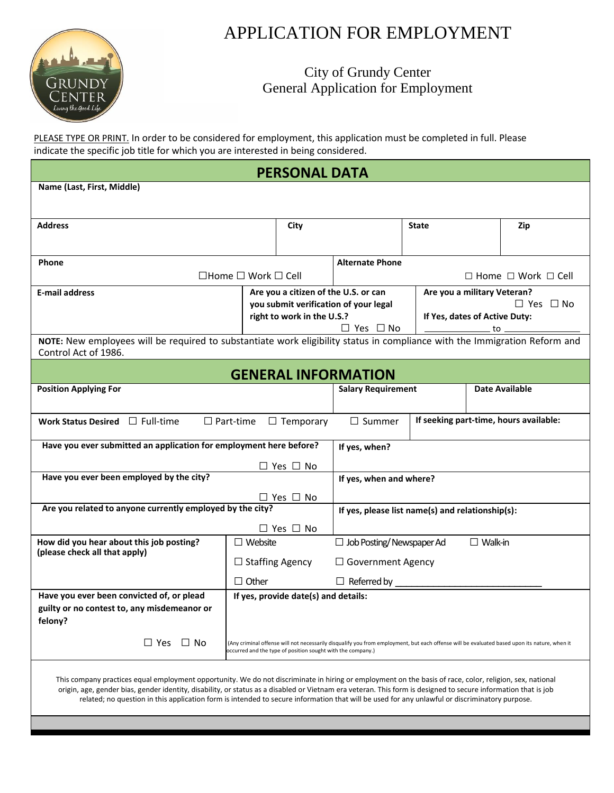

## APPLICATION FOR EMPLOYMENT

## City of Grundy Center General Application for Employment

PLEASE TYPE OR PRINT. In order to be considered for employment, this application must be completed in full. Please indicate the specific job title for which you are interested in being considered.

| <b>PERSONAL DATA</b>                                                                                                                                                                                                                                                                                                                                                                                                                                                        |                                     |                                      |                                                                                                                                                                       |  |                               |                       |  |  |
|-----------------------------------------------------------------------------------------------------------------------------------------------------------------------------------------------------------------------------------------------------------------------------------------------------------------------------------------------------------------------------------------------------------------------------------------------------------------------------|-------------------------------------|--------------------------------------|-----------------------------------------------------------------------------------------------------------------------------------------------------------------------|--|-------------------------------|-----------------------|--|--|
| Name (Last, First, Middle)                                                                                                                                                                                                                                                                                                                                                                                                                                                  |                                     |                                      |                                                                                                                                                                       |  |                               |                       |  |  |
|                                                                                                                                                                                                                                                                                                                                                                                                                                                                             |                                     |                                      |                                                                                                                                                                       |  |                               |                       |  |  |
| <b>Address</b>                                                                                                                                                                                                                                                                                                                                                                                                                                                              |                                     |                                      | <b>State</b>                                                                                                                                                          |  | Zip                           |                       |  |  |
|                                                                                                                                                                                                                                                                                                                                                                                                                                                                             |                                     |                                      |                                                                                                                                                                       |  |                               |                       |  |  |
| <b>Phone</b>                                                                                                                                                                                                                                                                                                                                                                                                                                                                |                                     | <b>Alternate Phone</b>               |                                                                                                                                                                       |  |                               |                       |  |  |
|                                                                                                                                                                                                                                                                                                                                                                                                                                                                             | $\Box$ Home $\Box$ Work $\Box$ Cell |                                      | $\Box$ Home $\Box$ Work $\Box$ Cell                                                                                                                                   |  |                               |                       |  |  |
| <b>E-mail address</b>                                                                                                                                                                                                                                                                                                                                                                                                                                                       |                                     |                                      | Are you a military Veteran?<br>Are you a citizen of the U.S. or can<br>$\Box$ Yes $\Box$ No<br>you submit verification of your legal                                  |  |                               |                       |  |  |
|                                                                                                                                                                                                                                                                                                                                                                                                                                                                             |                                     | right to work in the U.S.?           |                                                                                                                                                                       |  | If Yes, dates of Active Duty: |                       |  |  |
|                                                                                                                                                                                                                                                                                                                                                                                                                                                                             |                                     |                                      | $\Box$ Yes $\Box$ No<br>to ____________<br>NOTE: New employees will be required to substantiate work eligibility status in compliance with the Immigration Reform and |  |                               |                       |  |  |
| Control Act of 1986.                                                                                                                                                                                                                                                                                                                                                                                                                                                        |                                     |                                      |                                                                                                                                                                       |  |                               |                       |  |  |
|                                                                                                                                                                                                                                                                                                                                                                                                                                                                             |                                     |                                      | <b>GENERAL INFORMATION</b>                                                                                                                                            |  |                               |                       |  |  |
| <b>Position Applying For</b>                                                                                                                                                                                                                                                                                                                                                                                                                                                |                                     |                                      | <b>Salary Requirement</b>                                                                                                                                             |  |                               | <b>Date Available</b> |  |  |
|                                                                                                                                                                                                                                                                                                                                                                                                                                                                             |                                     |                                      |                                                                                                                                                                       |  |                               |                       |  |  |
| Work Status Desired $\Box$ Full-time                                                                                                                                                                                                                                                                                                                                                                                                                                        | $\Box$ Part-time                    | $\Box$ Temporary                     | If seeking part-time, hours available:<br>$\Box$ Summer                                                                                                               |  |                               |                       |  |  |
| Have you ever submitted an application for employment here before?                                                                                                                                                                                                                                                                                                                                                                                                          |                                     |                                      | If yes, when?                                                                                                                                                         |  |                               |                       |  |  |
|                                                                                                                                                                                                                                                                                                                                                                                                                                                                             |                                     | $\Box$ Yes $\Box$ No                 |                                                                                                                                                                       |  |                               |                       |  |  |
| Have you ever been employed by the city?                                                                                                                                                                                                                                                                                                                                                                                                                                    |                                     |                                      | If yes, when and where?                                                                                                                                               |  |                               |                       |  |  |
|                                                                                                                                                                                                                                                                                                                                                                                                                                                                             |                                     | $\Box$ Yes $\Box$ No                 |                                                                                                                                                                       |  |                               |                       |  |  |
| Are you related to anyone currently employed by the city?                                                                                                                                                                                                                                                                                                                                                                                                                   |                                     |                                      | If yes, please list name(s) and relationship(s):                                                                                                                      |  |                               |                       |  |  |
|                                                                                                                                                                                                                                                                                                                                                                                                                                                                             |                                     | $\Box$ Yes $\Box$ No                 |                                                                                                                                                                       |  |                               |                       |  |  |
| How did you hear about this job posting?<br>(please check all that apply)                                                                                                                                                                                                                                                                                                                                                                                                   | $\Box$ Website                      |                                      | $\Box$ Job Posting/Newspaper Ad<br>$\Box$ Walk-in                                                                                                                     |  |                               |                       |  |  |
|                                                                                                                                                                                                                                                                                                                                                                                                                                                                             | $\Box$ Staffing Agency              |                                      | $\Box$ Government Agency                                                                                                                                              |  |                               |                       |  |  |
|                                                                                                                                                                                                                                                                                                                                                                                                                                                                             | $\Box$ Other                        |                                      | $\Box$ Referred by                                                                                                                                                    |  |                               |                       |  |  |
| Have you ever been convicted of, or plead<br>guilty or no contest to, any misdemeanor or<br>felony?                                                                                                                                                                                                                                                                                                                                                                         |                                     | If yes, provide date(s) and details: |                                                                                                                                                                       |  |                               |                       |  |  |
| $\Box$ Yes $\Box$ No<br>(Any criminal offense will not necessarily disqualify you from employment, but each offense will be evaluated based upon its nature, when it<br>occurred and the type of position sought with the company.)                                                                                                                                                                                                                                         |                                     |                                      |                                                                                                                                                                       |  |                               |                       |  |  |
| This company practices equal employment opportunity. We do not discriminate in hiring or employment on the basis of race, color, religion, sex, national<br>origin, age, gender bias, gender identity, disability, or status as a disabled or Vietnam era veteran. This form is designed to secure information that is job<br>related; no question in this application form is intended to secure information that will be used for any unlawful or discriminatory purpose. |                                     |                                      |                                                                                                                                                                       |  |                               |                       |  |  |
|                                                                                                                                                                                                                                                                                                                                                                                                                                                                             |                                     |                                      |                                                                                                                                                                       |  |                               |                       |  |  |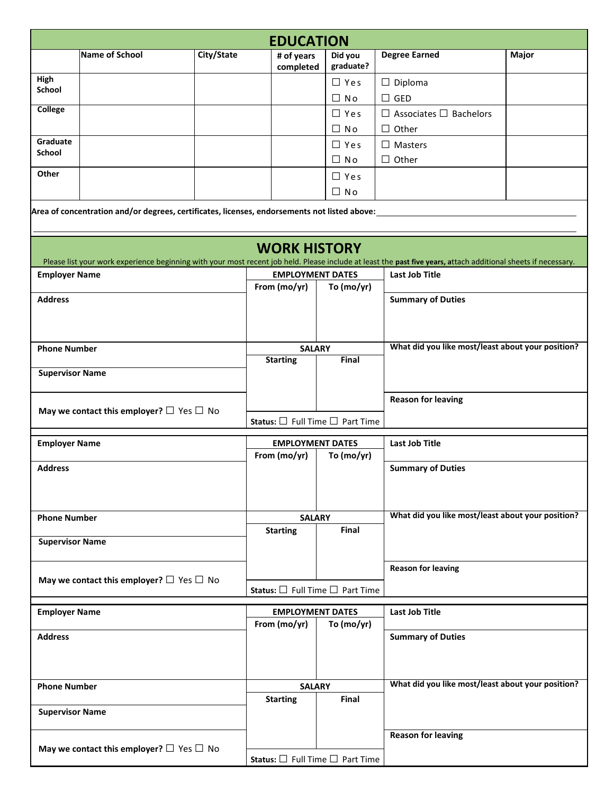|                                                          |                                                                                              |            | <b>EDUCATION</b>                                |                      |                                                                                                                                                                                         |       |  |  |
|----------------------------------------------------------|----------------------------------------------------------------------------------------------|------------|-------------------------------------------------|----------------------|-----------------------------------------------------------------------------------------------------------------------------------------------------------------------------------------|-------|--|--|
|                                                          | Name of School                                                                               | City/State | # of years<br>completed                         | Did you<br>graduate? | <b>Degree Earned</b>                                                                                                                                                                    | Major |  |  |
| High<br><b>School</b>                                    |                                                                                              |            |                                                 | $\Box$ Yes           | $\Box$ Diploma                                                                                                                                                                          |       |  |  |
|                                                          |                                                                                              |            |                                                 | $\Box$ No            | $\Box$ GED                                                                                                                                                                              |       |  |  |
| College                                                  |                                                                                              |            |                                                 | $\Box$ Yes           | $\Box$ Associates $\Box$ Bachelors                                                                                                                                                      |       |  |  |
|                                                          |                                                                                              |            |                                                 | $\Box$ No            | $\Box$ Other                                                                                                                                                                            |       |  |  |
| Graduate                                                 |                                                                                              |            |                                                 | $\Box$ Yes           | $\Box$ Masters                                                                                                                                                                          |       |  |  |
| <b>School</b>                                            |                                                                                              |            |                                                 | $\Box$ No            | $\Box$ Other                                                                                                                                                                            |       |  |  |
| Other                                                    |                                                                                              |            |                                                 | $\Box$ Yes           |                                                                                                                                                                                         |       |  |  |
|                                                          |                                                                                              |            |                                                 | $\Box$ No            |                                                                                                                                                                                         |       |  |  |
|                                                          | Area of concentration and/or degrees, certificates, licenses, endorsements not listed above: |            | <b>WORK HISTORY</b>                             |                      |                                                                                                                                                                                         |       |  |  |
| <b>Employer Name</b>                                     |                                                                                              |            | <b>EMPLOYMENT DATES</b>                         |                      | Please list your work experience beginning with your most recent job held. Please include at least the past five years, attach additional sheets if necessary.<br><b>Last Job Title</b> |       |  |  |
|                                                          |                                                                                              |            | From (mo/yr)                                    | To (mo/yr)           |                                                                                                                                                                                         |       |  |  |
| <b>Address</b>                                           |                                                                                              |            |                                                 |                      | <b>Summary of Duties</b>                                                                                                                                                                |       |  |  |
| <b>Phone Number</b>                                      |                                                                                              |            | <b>SALARY</b>                                   |                      | What did you like most/least about your position?                                                                                                                                       |       |  |  |
|                                                          |                                                                                              |            | <b>Starting</b>                                 | Final                |                                                                                                                                                                                         |       |  |  |
| <b>Supervisor Name</b>                                   |                                                                                              |            |                                                 |                      |                                                                                                                                                                                         |       |  |  |
|                                                          |                                                                                              |            |                                                 |                      |                                                                                                                                                                                         |       |  |  |
|                                                          | May we contact this employer? $\Box$ Yes $\Box$ No                                           |            | Status: $\square$ Full Time $\square$ Part Time |                      | <b>Reason for leaving</b>                                                                                                                                                               |       |  |  |
| <b>Employer Name</b>                                     |                                                                                              |            | <b>EMPLOYMENT DATES</b>                         |                      | <b>Last Job Title</b>                                                                                                                                                                   |       |  |  |
|                                                          |                                                                                              |            | From (mo/yr)                                    | To (mo/yr)           |                                                                                                                                                                                         |       |  |  |
| <b>Address</b>                                           |                                                                                              |            |                                                 |                      | <b>Summary of Duties</b>                                                                                                                                                                |       |  |  |
| <b>Phone Number</b>                                      |                                                                                              |            | <b>SALARY</b>                                   |                      | What did you like most/least about your position?                                                                                                                                       |       |  |  |
|                                                          |                                                                                              |            | <b>Starting</b>                                 | Final                |                                                                                                                                                                                         |       |  |  |
| <b>Supervisor Name</b>                                   |                                                                                              |            |                                                 |                      |                                                                                                                                                                                         |       |  |  |
|                                                          |                                                                                              |            |                                                 |                      | <b>Reason for leaving</b>                                                                                                                                                               |       |  |  |
|                                                          | May we contact this employer? $\Box$ Yes $\Box$ No                                           |            | Status: □ Full Time □ Part Time                 |                      |                                                                                                                                                                                         |       |  |  |
| <b>Employer Name</b>                                     |                                                                                              |            | <b>EMPLOYMENT DATES</b>                         |                      | <b>Last Job Title</b>                                                                                                                                                                   |       |  |  |
|                                                          |                                                                                              |            | From (mo/yr)                                    | To $(mo/yr)$         |                                                                                                                                                                                         |       |  |  |
| <b>Address</b>                                           |                                                                                              |            |                                                 |                      | <b>Summary of Duties</b>                                                                                                                                                                |       |  |  |
| <b>Phone Number</b>                                      |                                                                                              |            | <b>SALARY</b>                                   |                      | What did you like most/least about your position?                                                                                                                                       |       |  |  |
|                                                          |                                                                                              |            | <b>Starting</b>                                 | Final                |                                                                                                                                                                                         |       |  |  |
| <b>Supervisor Name</b>                                   |                                                                                              |            |                                                 |                      |                                                                                                                                                                                         |       |  |  |
|                                                          |                                                                                              |            |                                                 |                      | <b>Reason for leaving</b>                                                                                                                                                               |       |  |  |
| May we contact this employer? $\square$ Yes $\square$ No |                                                                                              |            | Status: $\Box$ Full Time $\Box$ Part Time       |                      |                                                                                                                                                                                         |       |  |  |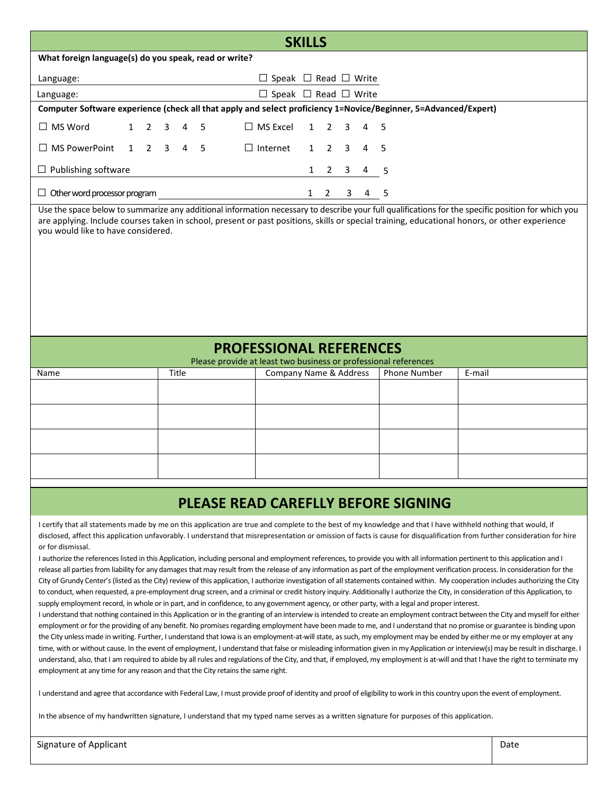| <b>SKILLS</b>                                                                                     |                                                                                                                 |   |                 |       |   |  |                                       |              |                |                         |   |                     |                                                                                                                                                                                                                                                                                                     |
|---------------------------------------------------------------------------------------------------|-----------------------------------------------------------------------------------------------------------------|---|-----------------|-------|---|--|---------------------------------------|--------------|----------------|-------------------------|---|---------------------|-----------------------------------------------------------------------------------------------------------------------------------------------------------------------------------------------------------------------------------------------------------------------------------------------------|
| What foreign language(s) do you speak, read or write?                                             |                                                                                                                 |   |                 |       |   |  |                                       |              |                |                         |   |                     |                                                                                                                                                                                                                                                                                                     |
| Language:                                                                                         | $\Box$ Speak $\Box$ Read $\Box$ Write                                                                           |   |                 |       |   |  |                                       |              |                |                         |   |                     |                                                                                                                                                                                                                                                                                                     |
| Language:                                                                                         |                                                                                                                 |   |                 |       |   |  | $\Box$ Speak $\Box$ Read $\Box$ Write |              |                |                         |   |                     |                                                                                                                                                                                                                                                                                                     |
|                                                                                                   | Computer Software experience (check all that apply and select proficiency 1=Novice/Beginner, 5=Advanced/Expert) |   |                 |       |   |  |                                       |              |                |                         |   |                     |                                                                                                                                                                                                                                                                                                     |
| $\Box$ MS Word                                                                                    | $\mathbf{1}$                                                                                                    | 2 | 3               | 4     | 5 |  | $\Box$ MS Excel                       | $\mathbf{1}$ | $\overline{2}$ | $\overline{3}$          | 4 | 5                   |                                                                                                                                                                                                                                                                                                     |
| $\Box$ MS PowerPoint                                                                              | $\mathbf{1}$                                                                                                    |   | $2 \t3 \t4 \t5$ |       |   |  | $\Box$ Internet                       | $\mathbf{1}$ | $\overline{2}$ | $\overline{3}$          | 4 | 5                   |                                                                                                                                                                                                                                                                                                     |
| $\Box$ Publishing software                                                                        |                                                                                                                 |   |                 |       |   |  |                                       | $\mathbf{1}$ | $\overline{2}$ | $\overline{\mathbf{3}}$ | 4 | 5                   |                                                                                                                                                                                                                                                                                                     |
| $\Box$ Other word processor program<br>$1\quad 2$<br>3 4 5                                        |                                                                                                                 |   |                 |       |   |  |                                       |              |                |                         |   |                     |                                                                                                                                                                                                                                                                                                     |
| you would like to have considered.                                                                |                                                                                                                 |   |                 |       |   |  |                                       |              |                |                         |   |                     | Use the space below to summarize any additional information necessary to describe your full qualifications for the specific position for which you<br>are applying. Include courses taken in school, present or past positions, skills or special training, educational honors, or other experience |
| <b>PROFESSIONAL REFERENCES</b><br>Please provide at least two business or professional references |                                                                                                                 |   |                 |       |   |  |                                       |              |                |                         |   |                     |                                                                                                                                                                                                                                                                                                     |
| Name                                                                                              |                                                                                                                 |   |                 | Title |   |  | Company Name & Address                |              |                |                         |   | <b>Phone Number</b> | E-mail                                                                                                                                                                                                                                                                                              |
|                                                                                                   |                                                                                                                 |   |                 |       |   |  |                                       |              |                |                         |   |                     |                                                                                                                                                                                                                                                                                                     |
|                                                                                                   |                                                                                                                 |   |                 |       |   |  |                                       |              |                |                         |   |                     |                                                                                                                                                                                                                                                                                                     |
|                                                                                                   |                                                                                                                 |   |                 |       |   |  |                                       |              |                |                         |   |                     |                                                                                                                                                                                                                                                                                                     |

## **PLEASE READ CAREFLLY BEFORE SIGNING**

I certify that all statements made by me on this application are true and complete to the best of my knowledge and that I have withheld nothing that would, if disclosed, affect this application unfavorably. I understand that misrepresentation or omission of facts is cause for disqualification from further consideration for hire or for dismissal.

I authorize the references listed in this Application, including personal and employment references, to provide you with all information pertinent to this application and I release all parties from liability for any damages that may result from the release of any information as part of the employment verification process. In consideration for the City of Grundy Center's (listed as the City) review of this application, I authorize investigation of all statements contained within. My cooperation includes authorizing the City to conduct, when requested, a pre-employment drug screen, and a criminal or credit history inquiry. Additionally I authorize the City, in consideration of this Application, to supply employment record, in whole or in part, and in confidence, to any government agency, or other party, with a legal and proper interest.

I understand that nothing contained in this Application or in the granting of an interview is intended to create an employment contract between the City and myself for either employment or for the providing of any benefit. No promises regarding employment have been made to me, and I understand that no promise or guarantee is binding upon the City unless made in writing. Further, I understand that Iowa is an employment-at-will state, as such, my employment may be ended by either me or my employer at any time, with or without cause. In the event of employment, I understand that false or misleading information given in my Application or interview(s) may be result in discharge. I understand, also, that I am required to abide by all rules and regulations of the City, and that, if employed, my employment is at-will and that I have the right to terminate my employment at any time for any reason and that the City retains the same right.

I understand and agree that accordance with Federal Law, I must provide proof of identity and proof of eligibility to work in this country upon the event of employment.

In the absence of my handwritten signature, I understand that my typed name serves as a written signature for purposes of this application.